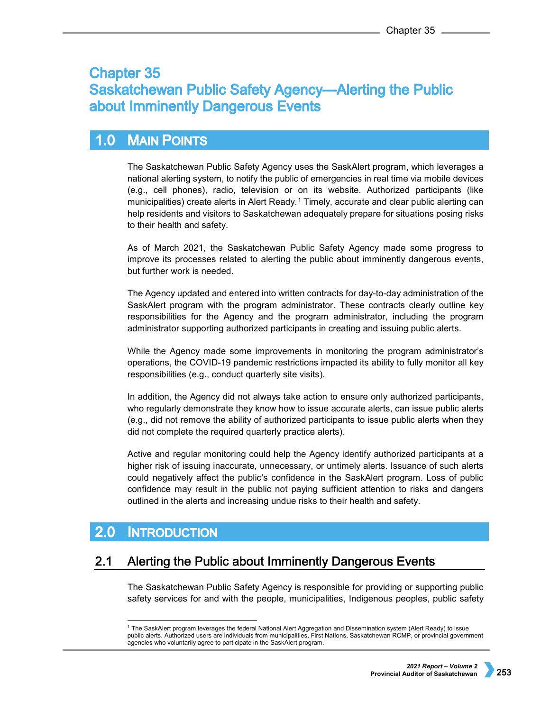# **Chapter 35 Saskatchewan Public Safety Agency-Alerting the Public** about Imminently Dangerous Events

#### $1.0$ **MAIN POINTS**

The Saskatchewan Public Safety Agency uses the SaskAlert program, which leverages a national alerting system, to notify the public of emergencies in real time via mobile devices (e.g., cell phones), radio, television or on its website. Authorized participants (like municipalities) create alerts in Alert Ready.[1](#page-0-0) Timely, accurate and clear public alerting can help residents and visitors to Saskatchewan adequately prepare for situations posing risks to their health and safety.

As of March 2021, the Saskatchewan Public Safety Agency made some progress to improve its processes related to alerting the public about imminently dangerous events, but further work is needed.

The Agency updated and entered into written contracts for day-to-day administration of the SaskAlert program with the program administrator. These contracts clearly outline key responsibilities for the Agency and the program administrator, including the program administrator supporting authorized participants in creating and issuing public alerts.

While the Agency made some improvements in monitoring the program administrator's operations, the COVID-19 pandemic restrictions impacted its ability to fully monitor all key responsibilities (e.g., conduct quarterly site visits).

In addition, the Agency did not always take action to ensure only authorized participants, who regularly demonstrate they know how to issue accurate alerts, can issue public alerts (e.g., did not remove the ability of authorized participants to issue public alerts when they did not complete the required quarterly practice alerts).

Active and regular monitoring could help the Agency identify authorized participants at a higher risk of issuing inaccurate, unnecessary, or untimely alerts. Issuance of such alerts could negatively affect the public's confidence in the SaskAlert program. Loss of public confidence may result in the public not paying sufficient attention to risks and dangers outlined in the alerts and increasing undue risks to their health and safety.

#### $2.0$ **INTRODUCTION**

#### <span id="page-0-0"></span>Alerting the Public about Imminently Dangerous Events  $2.1$

The Saskatchewan Public Safety Agency is responsible for providing or supporting public safety services for and with the people, municipalities, Indigenous peoples, public safety

 <sup>1</sup> The SaskAlert program leverages the federal National Alert Aggregation and Dissemination system (Alert Ready) to issue public alerts. Authorized users are individuals from municipalities, First Nations, Saskatchewan RCMP, or provincial government agencies who voluntarily agree to participate in the SaskAlert program.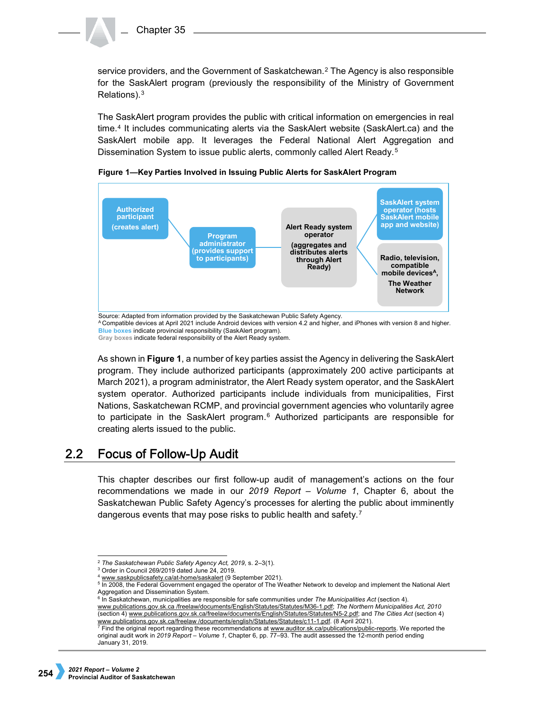service providers, and the Government of Saskatchewan.[2](#page-1-0) The Agency is also responsible for the SaskAlert program (previously the responsibility of the Ministry of Government Relations).[3](#page-1-1)

The SaskAlert program provides the public with critical information on emergencies in real time.[4](#page-1-2) It includes communicating alerts via the SaskAlert website (SaskAlert.ca) and the SaskAlert mobile app. It leverages the Federal National Alert Aggregation and Dissemination System to issue public alerts, commonly called Alert Ready.<sup>[5](#page-1-3)</sup>



**Figure 1—Key Parties Involved in Issuing Public Alerts for SaskAlert Program**

**Blue boxes** indicate provincial responsibility (SaskAlert program). **Gray boxes** indicate federal responsibility of the Alert Ready system.

As shown in **Figure 1**, a number of key parties assist the Agency in delivering the SaskAlert program. They include authorized participants (approximately 200 active participants at March 2021), a program administrator, the Alert Ready system operator, and the SaskAlert system operator. Authorized participants include individuals from municipalities, First Nations, Saskatchewan RCMP, and provincial government agencies who voluntarily agree to participate in the SaskAlert program.<sup>[6](#page-1-4)</sup> Authorized participants are responsible for creating alerts issued to the public.

#### $2.2<sub>2</sub>$ **Focus of Follow-Up Audit**

This chapter describes our first follow-up audit of management's actions on the four recommendations we made in our *2019 Report – Volume 1*, Chapter 6, about the Saskatchewan Public Safety Agency's processes for alerting the public about imminently dangerous events that may pose risks to public health and safety.[7](#page-1-5)

<span id="page-1-4"></span>[www.publications.gov.sk.ca /freelaw/documents/English/Statutes/Statutes/M36-1.pdf;](http://www.publications.gov.sk.ca/freelaw/documents/English/Statutes/Statutes/M36-1.pdf) *The Northern Municipalities Act, 2010* (section 4[\) www.publications.gov.sk.ca/freelaw/documents/English/Statutes/Statutes/N5-2.pdf;](http://www.publications.gov.sk.ca/freelaw/documents/English/Statutes/Statutes/N5-2.pdf) and *The Cities Act* (section 4)

A Compatible devices at April 2021 include Android devices with version 4.2 and higher, and iPhones with version 8 and higher.

<span id="page-1-0"></span> <sup>2</sup> *The Saskatchewan Public Safety Agency Act, 2019*, s. 2–3(1).

<span id="page-1-1"></span><sup>3</sup> Order in Council 269/2019 dated June 24, 2019.

<sup>4</sup> [www.saskpublicsafety.ca/at-home/saskalert](https://www.saskpublicsafety.ca/at-home/saskalert) (9 September 2021).

<span id="page-1-3"></span><span id="page-1-2"></span> $5$  In 2008, the Federal Government engaged the operator of The Weather Network to develop and implement the National Alert

Aggregation and Dissemination System. <sup>6</sup> In Saskatchewan, municipalities are responsible for safe communities under *The Municipalities Act* (section 4).

<span id="page-1-5"></span><sup>&</sup>lt;u>www.publications.gov.sk.ca/freelaw /documents/english/Statutes/Statutes/c11-1.pdf</u>. (8 April 2021).<br><sup>7</sup> Find the original report regarding these recommendations at <u>www.auditor.sk.ca/publications/public-reports</u>. We repor original audit work in *2019 Report – Volume 1*, Chapter 6, pp. 77–93. The audit assessed the 12-month period ending January 31, 2019.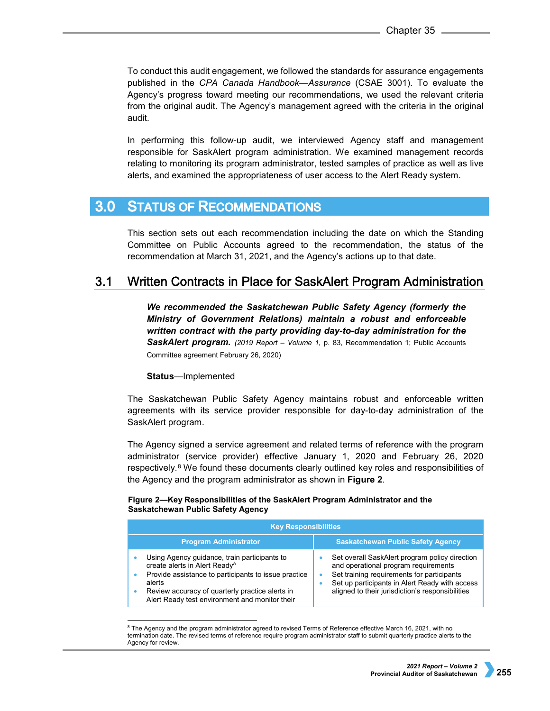To conduct this audit engagement, we followed the standards for assurance engagements published in the *CPA Canada Handbook—Assurance* (CSAE 3001). To evaluate the Agency's progress toward meeting our recommendations, we used the relevant criteria from the original audit. The Agency's management agreed with the criteria in the original audit.

In performing this follow-up audit, we interviewed Agency staff and management responsible for SaskAlert program administration. We examined management records relating to monitoring its program administrator, tested samples of practice as well as live alerts, and examined the appropriateness of user access to the Alert Ready system.

#### **STATUS OF RECOMMENDATIONS**  $3.0<sub>1</sub>$

This section sets out each recommendation including the date on which the Standing Committee on Public Accounts agreed to the recommendation, the status of the recommendation at March 31, 2021, and the Agency's actions up to that date.

#### $3.1$ Written Contracts in Place for SaskAlert Program Administration

*We recommended the Saskatchewan Public Safety Agency (formerly the Ministry of Government Relations) maintain a robust and enforceable written contract with the party providing day-to-day administration for the SaskAlert program. (2019 Report – Volume 1,* p. 83, Recommendation 1; Public Accounts Committee agreement February 26, 2020)

# **Status**—Implemented

The Saskatchewan Public Safety Agency maintains robust and enforceable written agreements with its service provider responsible for day-to-day administration of the SaskAlert program.

The Agency signed a service agreement and related terms of reference with the program administrator (service provider) effective January 1, 2020 and February 26, 2020 respectively.<sup>[8](#page-2-0)</sup> We found these documents clearly outlined key roles and responsibilities of the Agency and the program administrator as shown in **Figure 2**.

### **Figure 2—Key Responsibilities of the SaskAlert Program Administrator and the Saskatchewan Public Safety Agency**

| <b>Key Responsibilities</b>                                                                                                                                                                                                                                      |                                                                                                                                                                                                                                                 |  |
|------------------------------------------------------------------------------------------------------------------------------------------------------------------------------------------------------------------------------------------------------------------|-------------------------------------------------------------------------------------------------------------------------------------------------------------------------------------------------------------------------------------------------|--|
| <b>Program Administrator</b>                                                                                                                                                                                                                                     | <b>Saskatchewan Public Safety Agency</b>                                                                                                                                                                                                        |  |
| Using Agency guidance, train participants to<br>create alerts in Alert Ready <sup>A</sup><br>Provide assistance to participants to issue practice<br>alerts<br>Review accuracy of quarterly practice alerts in<br>Alert Ready test environment and monitor their | Set overall SaskAlert program policy direction<br>and operational program requirements<br>Set training requirements for participants<br>۰<br>Set up participants in Alert Ready with access<br>aligned to their jurisdiction's responsibilities |  |

<span id="page-2-0"></span><sup>&</sup>lt;sup>8</sup> The Agency and the program administrator agreed to revised Terms of Reference effective March 16, 2021, with no termination date. The revised terms of reference require program administrator staff to submit quarterly practice alerts to the Agency for review.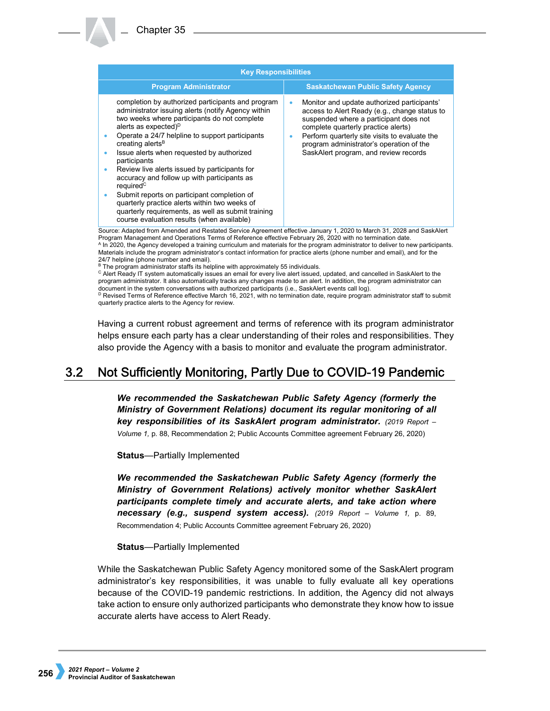| <b>Program Administrator</b><br><b>Saskatchewan Public Safety Agency</b><br>completion by authorized participants and program<br>Monitor and update authorized participants'<br>administrator issuing alerts (notify Agency within<br>access to Alert Ready (e.g., change status to<br>two weeks where participants do not complete<br>suspended where a participant does not                                                                                                                                                                                                                                        | <b>Key Responsibilities</b> |                                     |
|----------------------------------------------------------------------------------------------------------------------------------------------------------------------------------------------------------------------------------------------------------------------------------------------------------------------------------------------------------------------------------------------------------------------------------------------------------------------------------------------------------------------------------------------------------------------------------------------------------------------|-----------------------------|-------------------------------------|
|                                                                                                                                                                                                                                                                                                                                                                                                                                                                                                                                                                                                                      |                             |                                     |
| Operate a 24/7 helpline to support participants<br>Perform quarterly site visits to evaluate the<br>creating alerts <sup>B</sup><br>program administrator's operation of the<br>SaskAlert program, and review records<br>Issue alerts when requested by authorized<br>participants<br>Review live alerts issued by participants for<br>٠<br>accuracy and follow up with participants as<br>required <sup>C</sup><br>Submit reports on participant completion of<br>quarterly practice alerts within two weeks of<br>quarterly requirements, as well as submit training<br>course evaluation results (when available) | alerts as expected) $D$     | complete quarterly practice alerts) |

Source: Adapted from Amended and Restated Service Agreement effective January 1, 2020 to March 31, 2028 and SaskAlert Program Management and Operations Terms of Reference effective February 26, 2020 with no termination date. <sup>A</sup> In 2020, the Agency developed a training curriculum and materials for the program administrator to deliver to new participants. Materials include the program administrator's contact information for practice alerts (phone number and email), and for the 24/7 helpline (phone number and email).

B The program administrator staffs its helpline with approximately 55 individuals.

<sup>C</sup> Alert Ready IT system automatically issues an email for every live alert issued, updated, and cancelled in SaskAlert to the program administrator. It also automatically tracks any changes made to an alert. In addition, the program administrator can document in the system conversations with authorized participants (i.e., SaskAlert events call log).<br><sup>D</sup> Revised Terms of Reference effective March 16, 2021, with no termination date, require program administrator staff to quarterly practice alerts to the Agency for review.

Having a current robust agreement and terms of reference with its program administrator helps ensure each party has a clear understanding of their roles and responsibilities. They also provide the Agency with a basis to monitor and evaluate the program administrator.

#### $3.2$ Not Sufficiently Monitoring, Partly Due to COVID-19 Pandemic

*We recommended the Saskatchewan Public Safety Agency (formerly the Ministry of Government Relations) document its regular monitoring of all key responsibilities of its SaskAlert program administrator. (2019 Report – Volume 1,* p. 88, Recommendation 2; Public Accounts Committee agreement February 26, 2020)

**Status**—Partially Implemented

*We recommended the Saskatchewan Public Safety Agency (formerly the Ministry of Government Relations) actively monitor whether SaskAlert participants complete timely and accurate alerts, and take action where necessary (e.g., suspend system access). (2019 Report – Volume 1,* p. 89, Recommendation 4; Public Accounts Committee agreement February 26, 2020)

## **Status**—Partially Implemented

While the Saskatchewan Public Safety Agency monitored some of the SaskAlert program administrator's key responsibilities, it was unable to fully evaluate all key operations because of the COVID-19 pandemic restrictions. In addition, the Agency did not always take action to ensure only authorized participants who demonstrate they know how to issue accurate alerts have access to Alert Ready.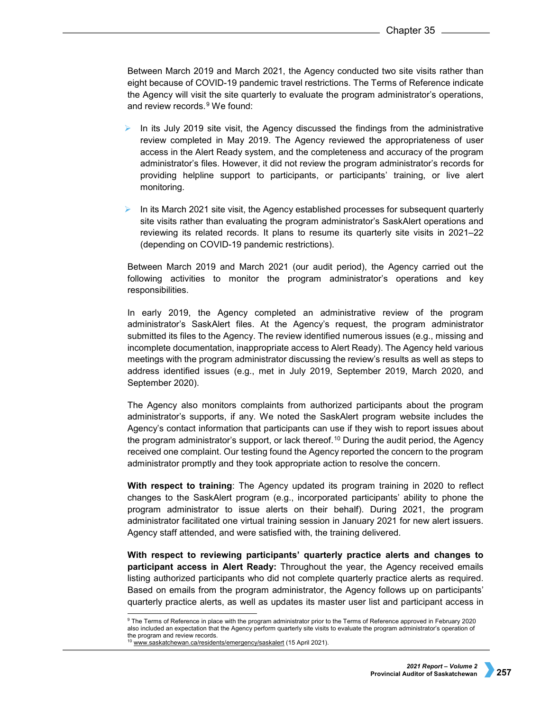Between March 2019 and March 2021, the Agency conducted two site visits rather than eight because of COVID-19 pandemic travel restrictions. The Terms of Reference indicate the Agency will visit the site quarterly to evaluate the program administrator's operations, and review records.[9](#page-4-0) We found:

- In its July 2019 site visit, the Agency discussed the findings from the administrative review completed in May 2019. The Agency reviewed the appropriateness of user access in the Alert Ready system, and the completeness and accuracy of the program administrator's files. However, it did not review the program administrator's records for providing helpline support to participants, or participants' training, or live alert monitoring.
- In its March 2021 site visit, the Agency established processes for subsequent quarterly site visits rather than evaluating the program administrator's SaskAlert operations and reviewing its related records. It plans to resume its quarterly site visits in 2021–22 (depending on COVID-19 pandemic restrictions).

Between March 2019 and March 2021 (our audit period), the Agency carried out the following activities to monitor the program administrator's operations and key responsibilities.

In early 2019, the Agency completed an administrative review of the program administrator's SaskAlert files. At the Agency's request, the program administrator submitted its files to the Agency. The review identified numerous issues (e.g., missing and incomplete documentation, inappropriate access to Alert Ready). The Agency held various meetings with the program administrator discussing the review's results as well as steps to address identified issues (e.g., met in July 2019, September 2019, March 2020, and September 2020).

The Agency also monitors complaints from authorized participants about the program administrator's supports, if any. We noted the SaskAlert program website includes the Agency's contact information that participants can use if they wish to report issues about the program administrator's support, or lack thereof.[10](#page-4-1) During the audit period, the Agency received one complaint. Our testing found the Agency reported the concern to the program administrator promptly and they took appropriate action to resolve the concern.

**With respect to training**: The Agency updated its program training in 2020 to reflect changes to the SaskAlert program (e.g., incorporated participants' ability to phone the program administrator to issue alerts on their behalf). During 2021, the program administrator facilitated one virtual training session in January 2021 for new alert issuers. Agency staff attended, and were satisfied with, the training delivered.

**With respect to reviewing participants' quarterly practice alerts and changes to participant access in Alert Ready:** Throughout the year, the Agency received emails listing authorized participants who did not complete quarterly practice alerts as required. Based on emails from the program administrator, the Agency follows up on participants' quarterly practice alerts, as well as updates its master user list and participant access in

<span id="page-4-0"></span><sup>9</sup> The Terms of Reference in place with the program administrator prior to the Terms of Reference approved in February 2020 also included an expectation that the Agency perform quarterly site visits to evaluate the program administrator's operation of the program and review records.

<span id="page-4-1"></span><sup>&</sup>lt;sup>10</sup> [www.saskatchewan.ca/residents/emergency/saskalert](https://www.saskatchewan.ca/residents/emergency/saskalert) (15 April 2021).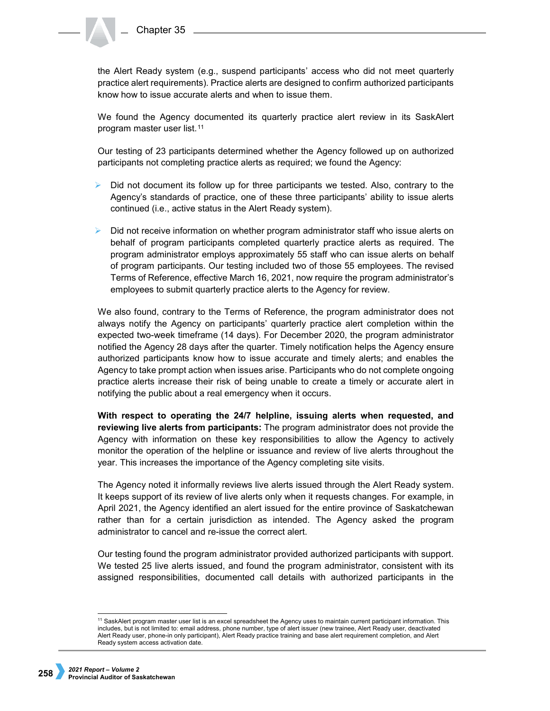the Alert Ready system (e.g., suspend participants' access who did not meet quarterly practice alert requirements). Practice alerts are designed to confirm authorized participants know how to issue accurate alerts and when to issue them.

We found the Agency documented its quarterly practice alert review in its SaskAlert program master user list.[11](#page-5-0)

Our testing of 23 participants determined whether the Agency followed up on authorized participants not completing practice alerts as required; we found the Agency:

- Did not document its follow up for three participants we tested. Also, contrary to the Agency's standards of practice, one of these three participants' ability to issue alerts continued (i.e., active status in the Alert Ready system).
- $\triangleright$  Did not receive information on whether program administrator staff who issue alerts on behalf of program participants completed quarterly practice alerts as required. The program administrator employs approximately 55 staff who can issue alerts on behalf of program participants. Our testing included two of those 55 employees. The revised Terms of Reference, effective March 16, 2021, now require the program administrator's employees to submit quarterly practice alerts to the Agency for review.

We also found, contrary to the Terms of Reference, the program administrator does not always notify the Agency on participants' quarterly practice alert completion within the expected two-week timeframe (14 days). For December 2020, the program administrator notified the Agency 28 days after the quarter. Timely notification helps the Agency ensure authorized participants know how to issue accurate and timely alerts; and enables the Agency to take prompt action when issues arise. Participants who do not complete ongoing practice alerts increase their risk of being unable to create a timely or accurate alert in notifying the public about a real emergency when it occurs.

**With respect to operating the 24/7 helpline, issuing alerts when requested, and reviewing live alerts from participants:** The program administrator does not provide the Agency with information on these key responsibilities to allow the Agency to actively monitor the operation of the helpline or issuance and review of live alerts throughout the year. This increases the importance of the Agency completing site visits.

The Agency noted it informally reviews live alerts issued through the Alert Ready system. It keeps support of its review of live alerts only when it requests changes. For example, in April 2021, the Agency identified an alert issued for the entire province of Saskatchewan rather than for a certain jurisdiction as intended. The Agency asked the program administrator to cancel and re-issue the correct alert.

Our testing found the program administrator provided authorized participants with support. We tested 25 live alerts issued, and found the program administrator, consistent with its assigned responsibilities, documented call details with authorized participants in the

<span id="page-5-0"></span><sup>&</sup>lt;sup>11</sup> SaskAlert program master user list is an excel spreadsheet the Agency uses to maintain current participant information. This includes, but is not limited to: email address, phone number, type of alert issuer (new trainee, Alert Ready user, deactivated Alert Ready user, phone-in only participant), Alert Ready practice training and base alert requirement completion, and Alert Ready system access activation date.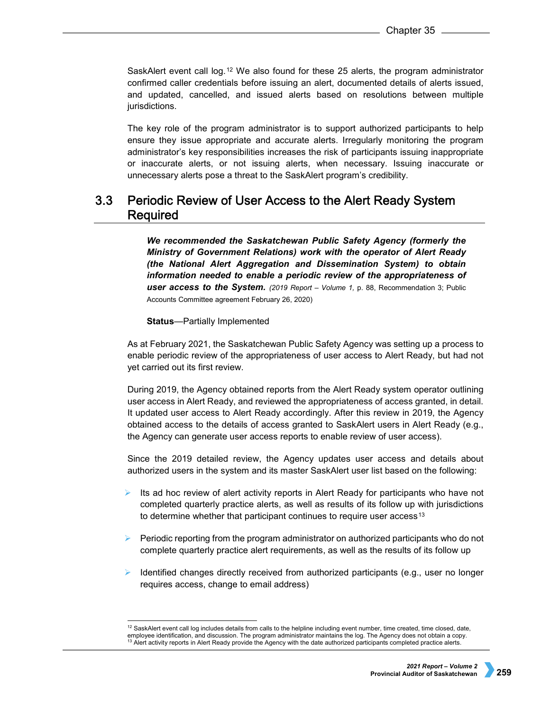SaskAlert event call log.[12](#page-6-0) We also found for these 25 alerts, the program administrator confirmed caller credentials before issuing an alert, documented details of alerts issued, and updated, cancelled, and issued alerts based on resolutions between multiple jurisdictions.

The key role of the program administrator is to support authorized participants to help ensure they issue appropriate and accurate alerts. Irregularly monitoring the program administrator's key responsibilities increases the risk of participants issuing inappropriate or inaccurate alerts, or not issuing alerts, when necessary. Issuing inaccurate or unnecessary alerts pose a threat to the SaskAlert program's credibility.

### $3.3<sub>1</sub>$ **Periodic Review of User Access to the Alert Ready System** Required

*We recommended the Saskatchewan Public Safety Agency (formerly the Ministry of Government Relations) work with the operator of Alert Ready (the National Alert Aggregation and Dissemination System) to obtain information needed to enable a periodic review of the appropriateness of user access to the System. (2019 Report – Volume 1,* p. 88, Recommendation 3; Public Accounts Committee agreement February 26, 2020)

**Status**—Partially Implemented

As at February 2021, the Saskatchewan Public Safety Agency was setting up a process to enable periodic review of the appropriateness of user access to Alert Ready, but had not yet carried out its first review.

During 2019, the Agency obtained reports from the Alert Ready system operator outlining user access in Alert Ready, and reviewed the appropriateness of access granted, in detail. It updated user access to Alert Ready accordingly. After this review in 2019, the Agency obtained access to the details of access granted to SaskAlert users in Alert Ready (e.g., the Agency can generate user access reports to enable review of user access).

Since the 2019 detailed review, the Agency updates user access and details about authorized users in the system and its master SaskAlert user list based on the following:

- Its ad hoc review of alert activity reports in Alert Ready for participants who have not completed quarterly practice alerts, as well as results of its follow up with jurisdictions to determine whether that participant continues to require user access<sup>[13](#page-6-1)</sup>
- $\triangleright$  Periodic reporting from the program administrator on authorized participants who do not complete quarterly practice alert requirements, as well as the results of its follow up
- $\triangleright$  Identified changes directly received from authorized participants (e.g., user no longer requires access, change to email address)

<span id="page-6-1"></span><span id="page-6-0"></span><sup>&</sup>lt;sup>12</sup> SaskAlert event call log includes details from calls to the helpline including event number, time created, time closed, date, employee identification, and discussion. The program administrator maintains the log. The Agency does not obtain a copy.  $13$  Alert activity reports in Alert Ready provide the Agency with the date authorized participants completed practice alerts.